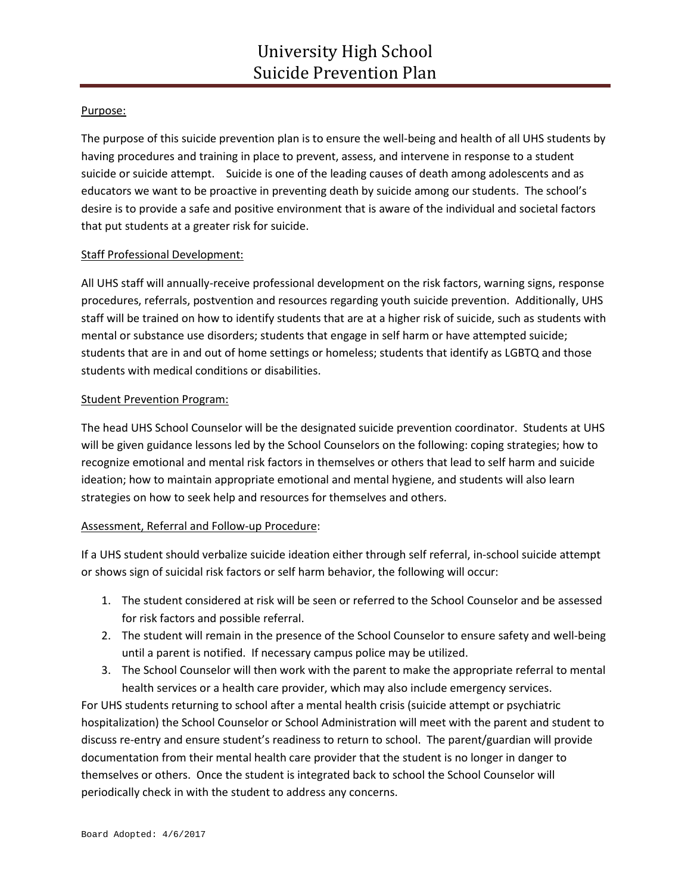# Purpose:

The purpose of this suicide prevention plan is to ensure the well-being and health of all UHS students by having procedures and training in place to prevent, assess, and intervene in response to a student suicide or suicide attempt. Suicide is one of the leading causes of death among adolescents and as educators we want to be proactive in preventing death by suicide among our students. The school's desire is to provide a safe and positive environment that is aware of the individual and societal factors that put students at a greater risk for suicide.

### Staff Professional Development:

All UHS staff will annually-receive professional development on the risk factors, warning signs, response procedures, referrals, postvention and resources regarding youth suicide prevention. Additionally, UHS staff will be trained on how to identify students that are at a higher risk of suicide, such as students with mental or substance use disorders; students that engage in self harm or have attempted suicide; students that are in and out of home settings or homeless; students that identify as LGBTQ and those students with medical conditions or disabilities.

#### Student Prevention Program:

The head UHS School Counselor will be the designated suicide prevention coordinator. Students at UHS will be given guidance lessons led by the School Counselors on the following: coping strategies; how to recognize emotional and mental risk factors in themselves or others that lead to self harm and suicide ideation; how to maintain appropriate emotional and mental hygiene, and students will also learn strategies on how to seek help and resources for themselves and others.

#### Assessment, Referral and Follow-up Procedure:

If a UHS student should verbalize suicide ideation either through self referral, in-school suicide attempt or shows sign of suicidal risk factors or self harm behavior, the following will occur:

- 1. The student considered at risk will be seen or referred to the School Counselor and be assessed for risk factors and possible referral.
- 2. The student will remain in the presence of the School Counselor to ensure safety and well-being until a parent is notified. If necessary campus police may be utilized.
- 3. The School Counselor will then work with the parent to make the appropriate referral to mental health services or a health care provider, which may also include emergency services.

For UHS students returning to school after a mental health crisis (suicide attempt or psychiatric hospitalization) the School Counselor or School Administration will meet with the parent and student to discuss re-entry and ensure student's readiness to return to school. The parent/guardian will provide documentation from their mental health care provider that the student is no longer in danger to themselves or others. Once the student is integrated back to school the School Counselor will periodically check in with the student to address any concerns.